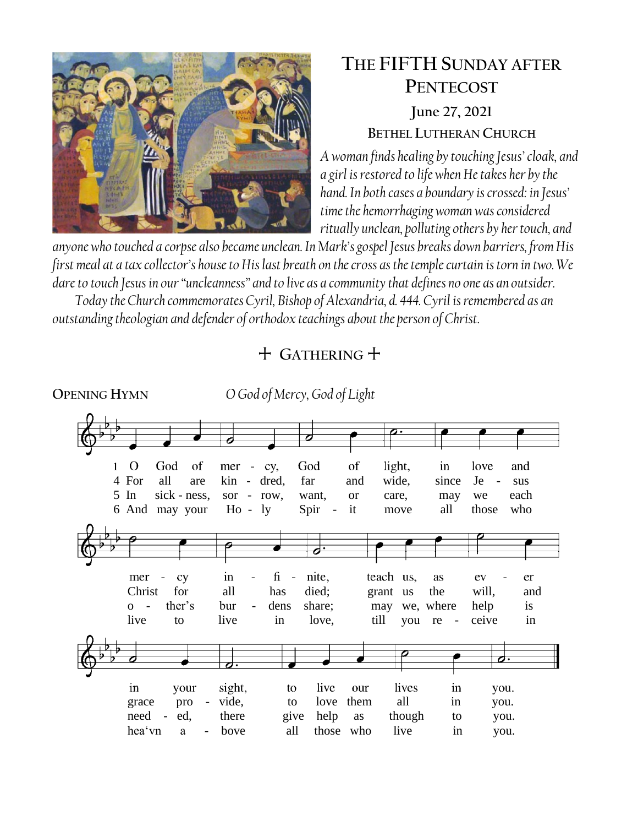

# **THE FIFTH SUNDAY AFTER PENTECOST June 27, 2021 BETHEL LUTHERAN CHURCH**

*A woman finds healing by touching Jesus' cloak, and a girl is restored to life when He takes her by the hand. In both cases a boundary is crossed: in Jesus' time the hemorrhaging woman was considered ritually unclean, polluting others by her touch, and* 

*anyone who touched a corpse also became unclean. In Mark's gospel Jesus breaks down barriers, from His first meal at a tax collector's house to His last breath on the cross as the temple curtain is torn in two. We dare to touch Jesus in our "uncleanness" and to live as a community that defines no one as an outsider.*

*Today the Church commemorates Cyril, Bishop of Alexandria, d. 444. Cyril is remembered as an outstanding theologian and defender of orthodox teachings about the person of Christ.*

## + **GATHERING** +

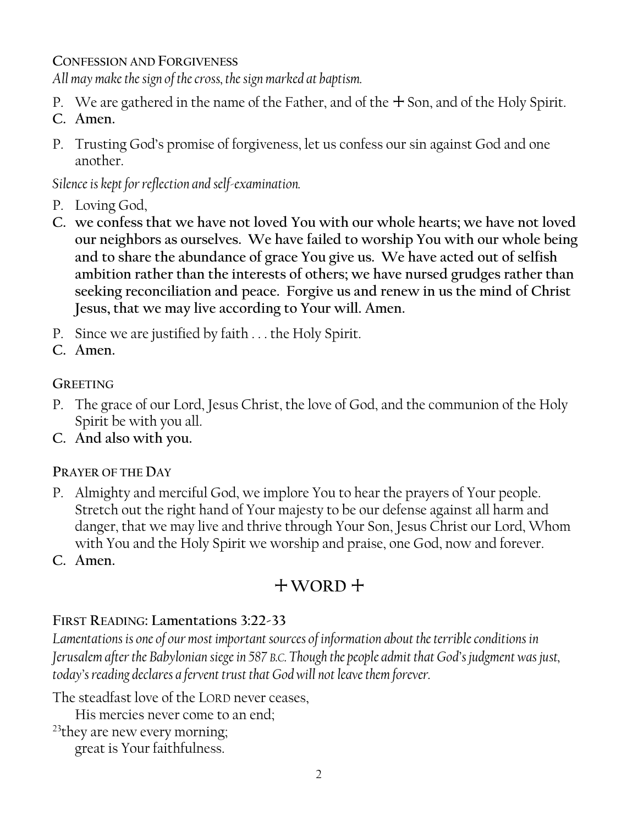**CONFESSION AND FORGIVENESS**

*All may make the sign of the cross, the sign marked at baptism.*

- P. We are gathered in the name of the Father, and of the  $+$  Son, and of the Holy Spirit.
- **C. Amen.**
- P. Trusting God's promise of forgiveness, let us confess our sin against God and one another.

*Silence is kept for reflection and self-examination.*

- P. Loving God,
- **C. we confess that we have not loved You with our whole hearts; we have not loved our neighbors as ourselves. We have failed to worship You with our whole being and to share the abundance of grace You give us. We have acted out of selfish ambition rather than the interests of others; we have nursed grudges rather than seeking reconciliation and peace. Forgive us and renew in us the mind of Christ Jesus, that we may live according to Your will. Amen.**
- P. Since we are justified by faith . . . the Holy Spirit.
- **C. Amen.**

**GREETING**

- P. The grace of our Lord, Jesus Christ, the love of God, and the communion of the Holy Spirit be with you all.
- **C. And also with you.**

## **PRAYER OF THE DAY**

- P. Almighty and merciful God, we implore You to hear the prayers of Your people. Stretch out the right hand of Your majesty to be our defense against all harm and danger, that we may live and thrive through Your Son, Jesus Christ our Lord, Whom with You and the Holy Spirit we worship and praise, one God, now and forever.
- **C. Amen.**

# + **WORD** +

## **FIRST READING: Lamentations 3:22-33**

*Lamentations is one of our most important sources of information about the terrible conditions in Jerusalem after the Babylonian siege in 587 B.C. Though the people admit that God's judgment was just, today's reading declares a fervent trust that God will not leave them forever.* 

The steadfast love of the LORD never ceases,

His mercies never come to an end;

<sup>23</sup>they are new every morning;

great is Your faithfulness.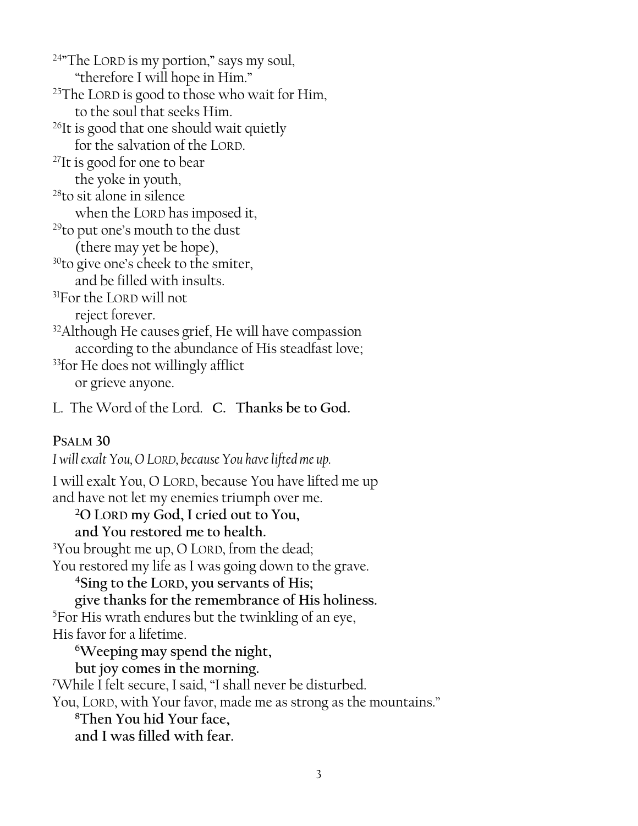$24$ <sup>\*</sup>The LORD is my portion," says my soul, "therefore I will hope in Him." <sup>25</sup>The LORD is good to those who wait for Him, to the soul that seeks Him. <sup>26</sup>It is good that one should wait quietly for the salvation of the LORD. <sup>27</sup>It is good for one to bear the yoke in youth, <sup>28</sup>to sit alone in silence when the LORD has imposed it, <sup>29</sup>to put one's mouth to the dust (there may yet be hope), <sup>30</sup>to give one's cheek to the smiter, and be filled with insults. <sup>31</sup>For the LORD will not reject forever. <sup>32</sup>Although He causes grief, He will have compassion according to the abundance of His steadfast love; <sup>33</sup>for He does not willingly afflict or grieve anyone. L. The Word of the Lord. **C. Thanks be to God.**

**PSALM 30**

*I will exalt You, O LORD, because You have lifted me up.* I will exalt You, O LORD, because You have lifted me up and have not let my enemies triumph over me. **<sup>2</sup>O LORD my God, I cried out to You, and You restored me to health.** <sup>3</sup>You brought me up, O LORD, from the dead; You restored my life as I was going down to the grave. **<sup>4</sup>Sing to the LORD, you servants of His; give thanks for the remembrance of His holiness.**  <sup>5</sup>For His wrath endures but the twinkling of an eye, His favor for a lifetime. **<sup>6</sup>Weeping may spend the night, but joy comes in the morning.** <sup>7</sup>While I felt secure, I said, "I shall never be disturbed. You, LORD, with Your favor, made me as strong as the mountains." **<sup>8</sup>Then You hid Your face, and I was filled with fear.**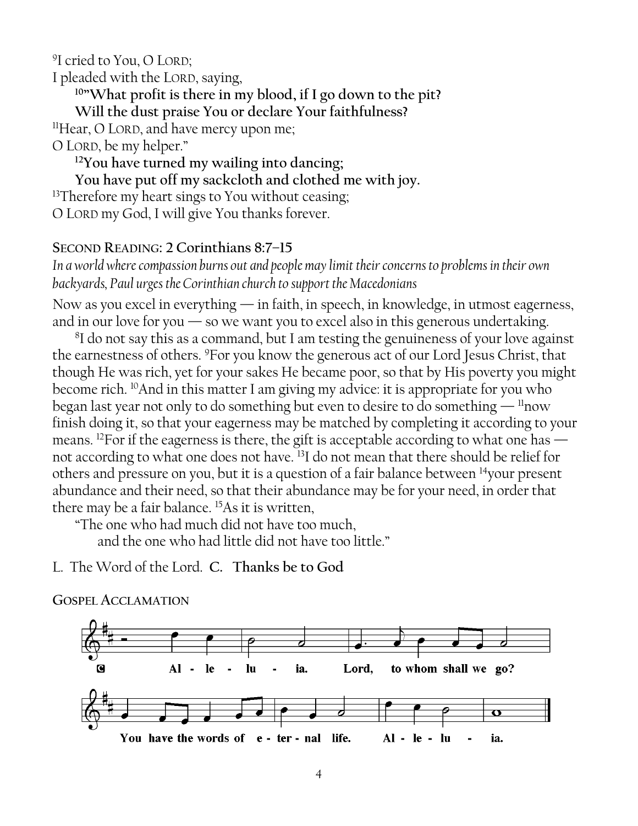9 I cried to You, O LORD;

I pleaded with the LORD, saying,

**<sup>10</sup>"What profit is there in my blood, if I go down to the pit?**

**Will the dust praise You or declare Your faithfulness?**

<sup>11</sup>Hear, O LORD, and have mercy upon me;

O LORD, be my helper."

**<sup>12</sup>You have turned my wailing into dancing;**

**You have put off my sackcloth and clothed me with joy.**

<sup>13</sup>Therefore my heart sings to You without ceasing;

O LORD my God, I will give You thanks forever.

### **SECOND READING: 2 Corinthians 8:7–15**

*In a world where compassion burns out and people may limit their concerns to problems in their own backyards, Paul urges the Corinthian church to support the Macedonians*

Now as you excel in everything  $-$  in faith, in speech, in knowledge, in utmost eagerness, and in our love for you  $-$  so we want you to excel also in this generous undertaking.

<sup>8</sup>I do not say this as a command, but I am testing the genuineness of your love against the earnestness of others. <sup>9</sup>For you know the generous act of our Lord Jesus Christ, that though He was rich, yet for your sakes He became poor, so that by His poverty you might become rich. <sup>10</sup>And in this matter I am giving my advice: it is appropriate for you who began last year not only to do something but even to desire to do something  $\frac{11}{100}$ finish doing it, so that your eagerness may be matched by completing it according to your means. <sup>12</sup>For if the eagerness is there, the gift is acceptable according to what one has not according to what one does not have. <sup>13</sup>I do not mean that there should be relief for others and pressure on you, but it is a question of a fair balance between <sup>14</sup>your present abundance and their need, so that their abundance may be for your need, in order that there may be a fair balance. <sup>15</sup>As it is written,

"The one who had much did not have too much,

and the one who had little did not have too little."

L. The Word of the Lord. **C. Thanks be to God**



#### **GOSPEL ACCLAMATION**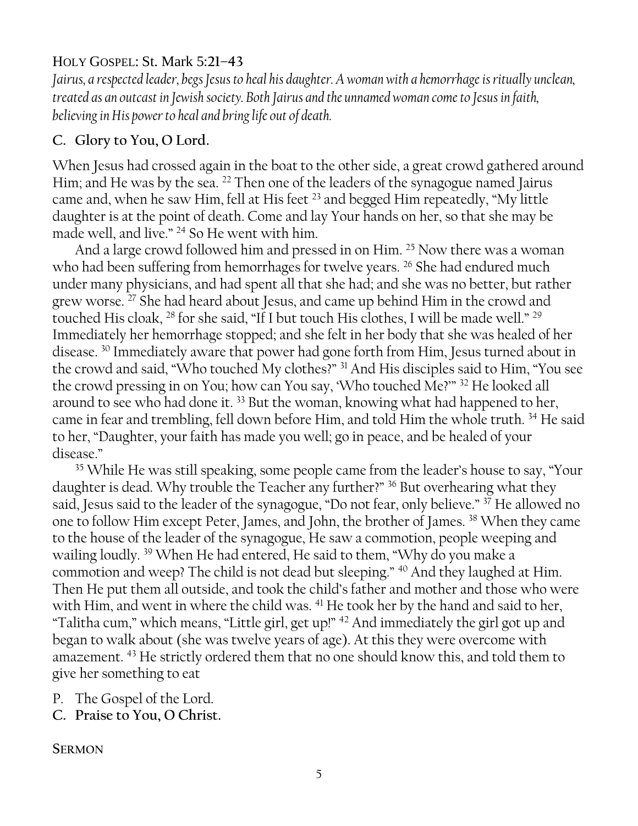### HOLY GOSPEL: St. Mark 5**:21–43**

*Jairus, a respected leader, begs Jesus to heal his daughter. A woman with a hemorrhage is ritually unclean, treated as an outcast in Jewish society. Both Jairus and the unnamed woman come to Jesus in faith, believing in His power to heal and bring life out of death.*

### **C. Glory to You, O Lord.**

When Jesus had crossed again in the boat to the other side, a great crowd gathered around Him; and He was by the sea. <sup>22</sup> Then one of the leaders of the synagogue named Jairus came and, when he saw Him, fell at His feet <sup>23</sup> and begged Him repeatedly, "My little daughter is at the point of death. Come and lay Your hands on her, so that she may be made well, and live." <sup>24</sup> So He went with him.

And a large crowd followed him and pressed in on Him. <sup>25</sup> Now there was a woman who had been suffering from hemorrhages for twelve years. <sup>26</sup> She had endured much under many physicians, and had spent all that she had; and she was no better, but rather grew worse. <sup>27</sup> She had heard about Jesus, and came up behind Him in the crowd and touched His cloak, <sup>28</sup> for she said, "If I but touch His clothes, I will be made well." <sup>29</sup> Immediately her hemorrhage stopped; and she felt in her body that she was healed of her disease. <sup>30</sup> Immediately aware that power had gone forth from Him, Jesus turned about in the crowd and said, "Who touched My clothes?" <sup>31</sup> And His disciples said to Him, "You see the crowd pressing in on You; how can You say, 'Who touched Me?'" <sup>32</sup> He looked all around to see who had done it.<sup>33</sup> But the woman, knowing what had happened to her, came in fear and trembling, fell down before Him, and told Him the whole truth. <sup>34</sup> He said to her, "Daughter, your faith has made you well; go in peace, and be healed of your disease."

<sup>35</sup> While He was still speaking, some people came from the leader's house to say, "Your daughter is dead. Why trouble the Teacher any further?" <sup>36</sup> But overhearing what they said, Jesus said to the leader of the synagogue, "Do not fear, only believe." <sup>37</sup> He allowed no one to follow Him except Peter, James, and John, the brother of James. <sup>38</sup> When they came to the house of the leader of the synagogue, He saw a commotion, people weeping and wailing loudly. <sup>39</sup> When He had entered, He said to them, "Why do you make a commotion and weep? The child is not dead but sleeping." <sup>40</sup> And they laughed at Him. Then He put them all outside, and took the child's father and mother and those who were with Him, and went in where the child was. <sup>41</sup> He took her by the hand and said to her, "Talitha cum," which means, "Little girl, get up!" <sup>42</sup> And immediately the girl got up and began to walk about (she was twelve years of age). At this they were overcome with amazement. <sup>43</sup> He strictly ordered them that no one should know this, and told them to give her something to eat

P. The Gospel of the Lord.

**C. Praise to You, O Christ.**

**SERMON**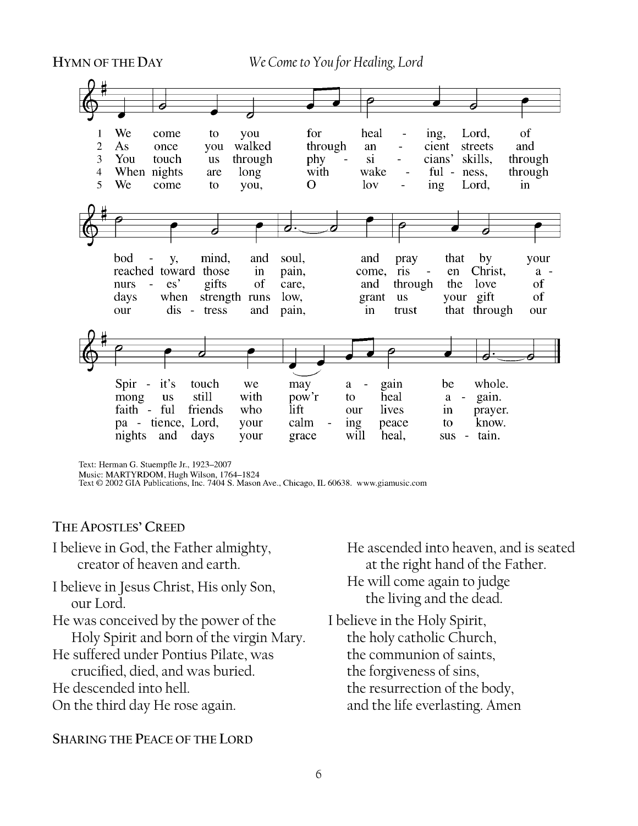**HYMN OF THE DAY** *We Come to You for Healing, Lord*



Text: Herman G. Stuempfle Jr., 1923-2007

Note: MARTYRDOM, Hugh Wilson, 1764–1824<br>Music: MARTYRDOM, Hugh Wilson, 1764–1824<br>Text © 2002 GIA Publications, Inc. 7404 S. Mason Ave., Chicago, IL 60638. www.giamusic.com

#### **THE APOSTLES' CREED**

I believe in God, the Father almighty, creator of heaven and earth.

- I believe in Jesus Christ, His only Son, our Lord.
- He was conceived by the power of the Holy Spirit and born of the virgin Mary.
- He suffered under Pontius Pilate, was crucified, died, and was buried.

He descended into hell.

On the third day He rose again.

#### **SHARING THE PEACE OF THE LORD**

He ascended into heaven, and is seated at the right hand of the Father. He will come again to judge the living and the dead.

I believe in the Holy Spirit, the holy catholic Church, the communion of saints, the forgiveness of sins, the resurrection of the body, and the life everlasting. Amen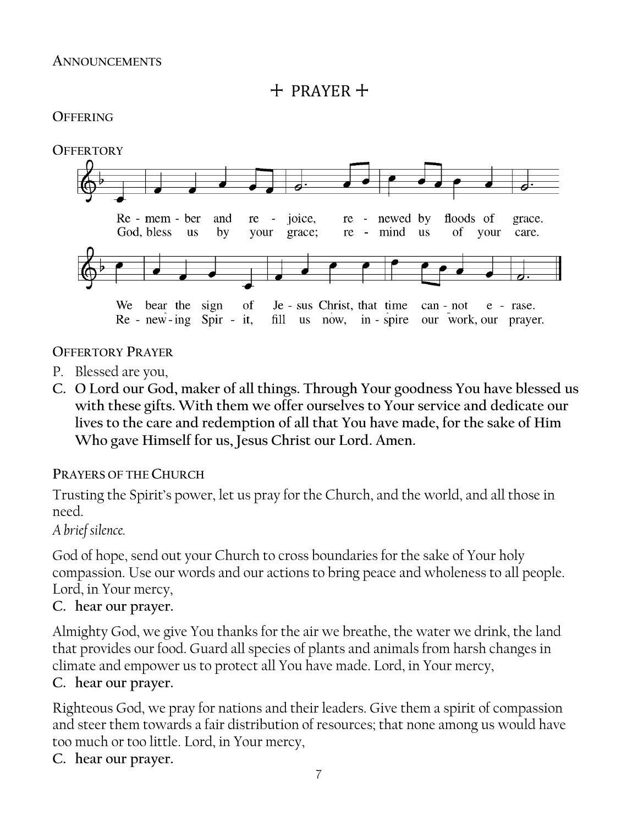$+$  PRAYER  $+$ 

### **OFFERING**



### **OFFERTORY PRAYER**

- P. Blessed are you,
- **C. O Lord our God, maker of all things. Through Your goodness You have blessed us with these gifts. With them we offer ourselves to Your service and dedicate our lives to the care and redemption of all that You have made, for the sake of Him Who gave Himself for us, Jesus Christ our Lord. Amen.**

### **PRAYERS OF THE CHURCH**

Trusting the Spirit's power, let us pray for the Church, and the world, and all those in need.

### *A brief silence.*

God of hope, send out your Church to cross boundaries for the sake of Your holy compassion. Use our words and our actions to bring peace and wholeness to all people. Lord, in Your mercy,

### **C. hear our prayer.**

Almighty God, we give You thanks for the air we breathe, the water we drink, the land that provides our food. Guard all species of plants and animals from harsh changes in climate and empower us to protect all You have made. Lord, in Your mercy,

### **C. hear our prayer.**

Righteous God, we pray for nations and their leaders. Give them a spirit of compassion and steer them towards a fair distribution of resources; that none among us would have too much or too little. Lord, in Your mercy,

### **C. hear our prayer.**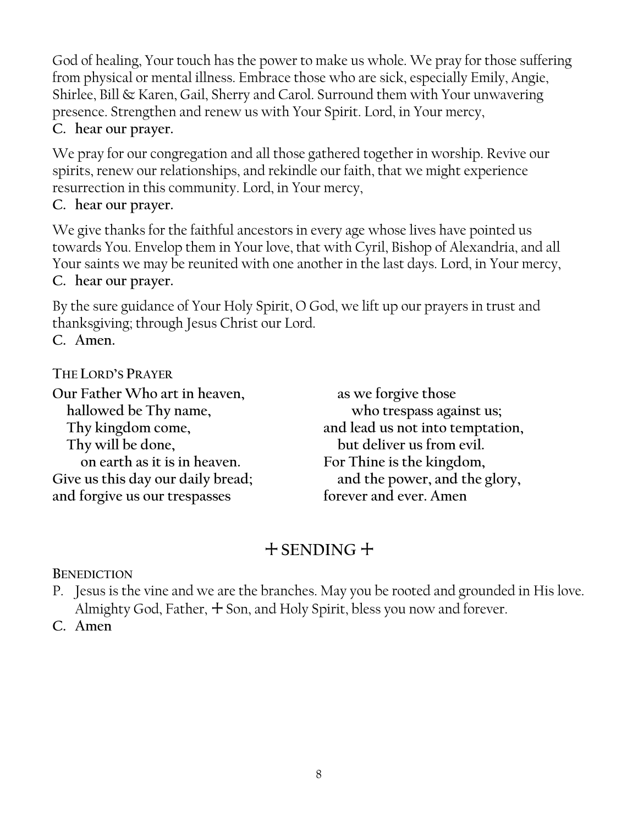God of healing, Your touch has the power to make us whole. We pray for those suffering from physical or mental illness. Embrace those who are sick, especially Emily, Angie, Shirlee, Bill & Karen, Gail, Sherry and Carol. Surround them with Your unwavering presence. Strengthen and renew us with Your Spirit. Lord, in Your mercy, **C. hear our prayer.**

We pray for our congregation and all those gathered together in worship. Revive our spirits, renew our relationships, and rekindle our faith, that we might experience resurrection in this community. Lord, in Your mercy,

### **C. hear our prayer.**

We give thanks for the faithful ancestors in every age whose lives have pointed us towards You. Envelop them in Your love, that with Cyril, Bishop of Alexandria, and all Your saints we may be reunited with one another in the last days. Lord, in Your mercy, **C. hear our prayer.**

By the sure guidance of Your Holy Spirit, O God, we lift up our prayers in trust and thanksgiving; through Jesus Christ our Lord.

**C. Amen.**

## **THE LORD'S PRAYER**

**Our Father Who art in heaven, hallowed be Thy name, Thy kingdom come, Thy will be done, on earth as it is in heaven. Give us this day our daily bread; and forgive us our trespasses**

**as we forgive those who trespass against us; and lead us not into temptation, but deliver us from evil. For Thine is the kingdom, and the power, and the glory, forever and ever. Amen**

## + **SENDING** +

**BENEDICTION**

- P. Jesus is the vine and we are the branches. May you be rooted and grounded in His love. Almighty God, Father,  $+$  Son, and Holy Spirit, bless you now and forever.
- **C. Amen**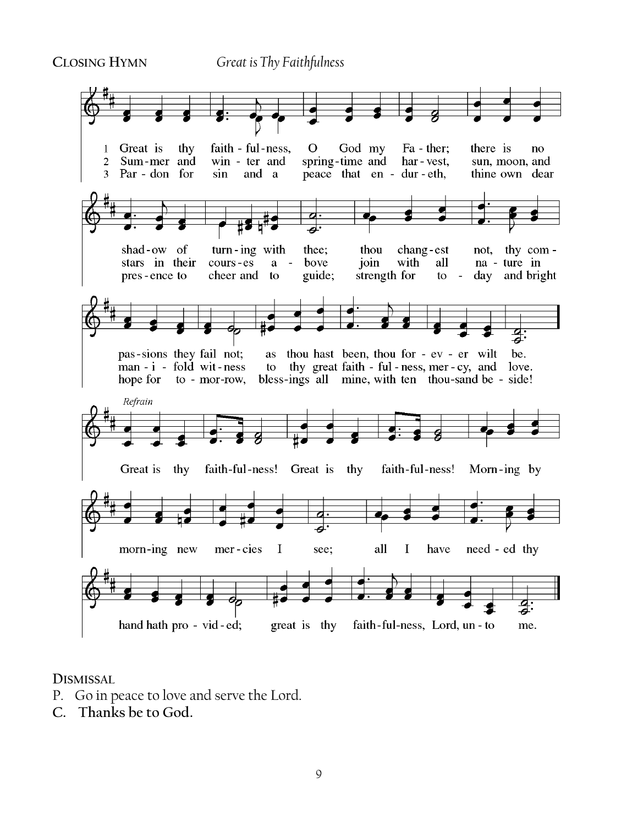**CLOSING HYMN** *Great is Thy Faithfulness*



**DISMISSAL** 

- P. Go in peace to love and serve the Lord.
- **C. Thanks be to God.**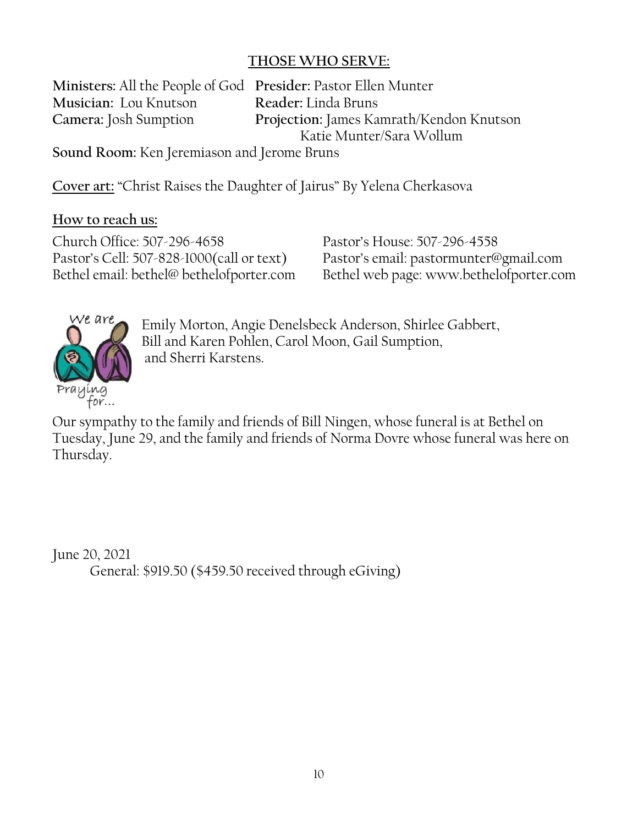## **THOSE WHO SERVE:**

**Ministers:** All the People of God **Presider:** Pastor Ellen Munter **Musician:** Lou Knutson **Reader:** Linda Bruns

**Camera:** Josh Sumption **Projection:** James Kamrath/Kendon Knutson Katie Munter/Sara Wollum

**Sound Room:** Ken Jeremiason and Jerome Bruns

**Cover art:** "Christ Raises the Daughter of Jairus" By Yelena Cherkasova

### **How to reach us:**

Church Office: 507-296-4658 Pastor's House: 507-296-4558 Pastor's Cell: 507-828-1000(call or text) Pastor's email: pastormunter@gmail.com

Bethel email: bethel@ bethelofporter.com Bethel web page: www.bethelofporter.com



Emily Morton, Angie Denelsbeck Anderson, Shirlee Gabbert, Bill and Karen Pohlen, Carol Moon, Gail Sumption, and Sherri Karstens.

Our sympathy to the family and friends of Bill Ningen, whose funeral is at Bethel on Tuesday, June 29, and the family and friends of Norma Dovre whose funeral was here on Thursday.

June 20, 2021 General: \$919.50 (\$459.50 received through eGiving)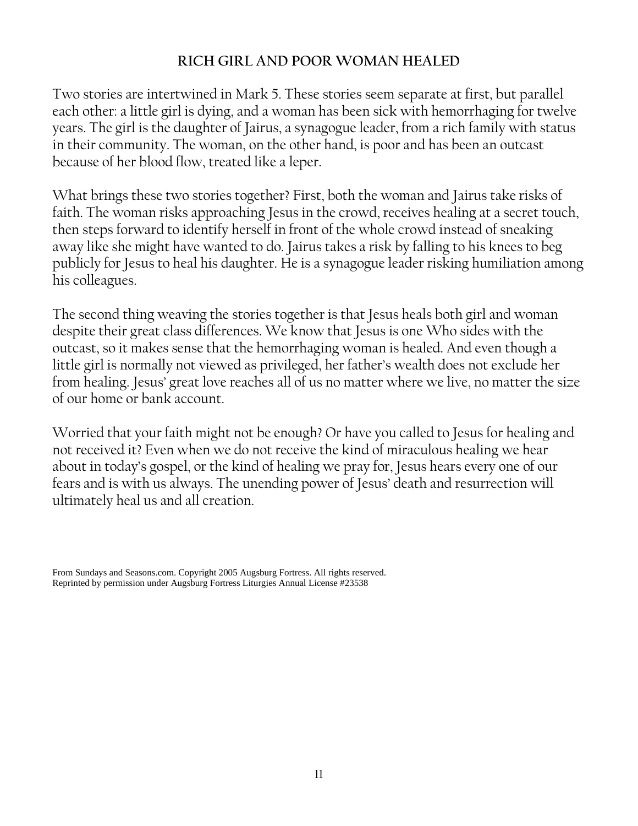### **RICH GIRL AND POOR WOMAN HEALED**

Two stories are intertwined in Mark 5. These stories seem separate at first, but parallel each other: a little girl is dying, and a woman has been sick with hemorrhaging for twelve years. The girl is the daughter of Jairus, a synagogue leader, from a rich family with status in their community. The woman, on the other hand, is poor and has been an outcast because of her blood flow, treated like a leper.

What brings these two stories together? First, both the woman and Jairus take risks of faith. The woman risks approaching Jesus in the crowd, receives healing at a secret touch, then steps forward to identify herself in front of the whole crowd instead of sneaking away like she might have wanted to do. Jairus takes a risk by falling to his knees to beg publicly for Jesus to heal his daughter. He is a synagogue leader risking humiliation among his colleagues.

The second thing weaving the stories together is that Jesus heals both girl and woman despite their great class differences. We know that Jesus is one Who sides with the outcast, so it makes sense that the hemorrhaging woman is healed. And even though a little girl is normally not viewed as privileged, her father's wealth does not exclude her from healing. Jesus' great love reaches all of us no matter where we live, no matter the size of our home or bank account.

Worried that your faith might not be enough? Or have you called to Jesus for healing and not received it? Even when we do not receive the kind of miraculous healing we hear about in today's gospel, or the kind of healing we pray for, Jesus hears every one of our fears and is with us always. The unending power of Jesus' death and resurrection will ultimately heal us and all creation.

From Sundays and Seasons.com. Copyright 2005 Augsburg Fortress. All rights reserved. Reprinted by permission under Augsburg Fortress Liturgies Annual License #23538